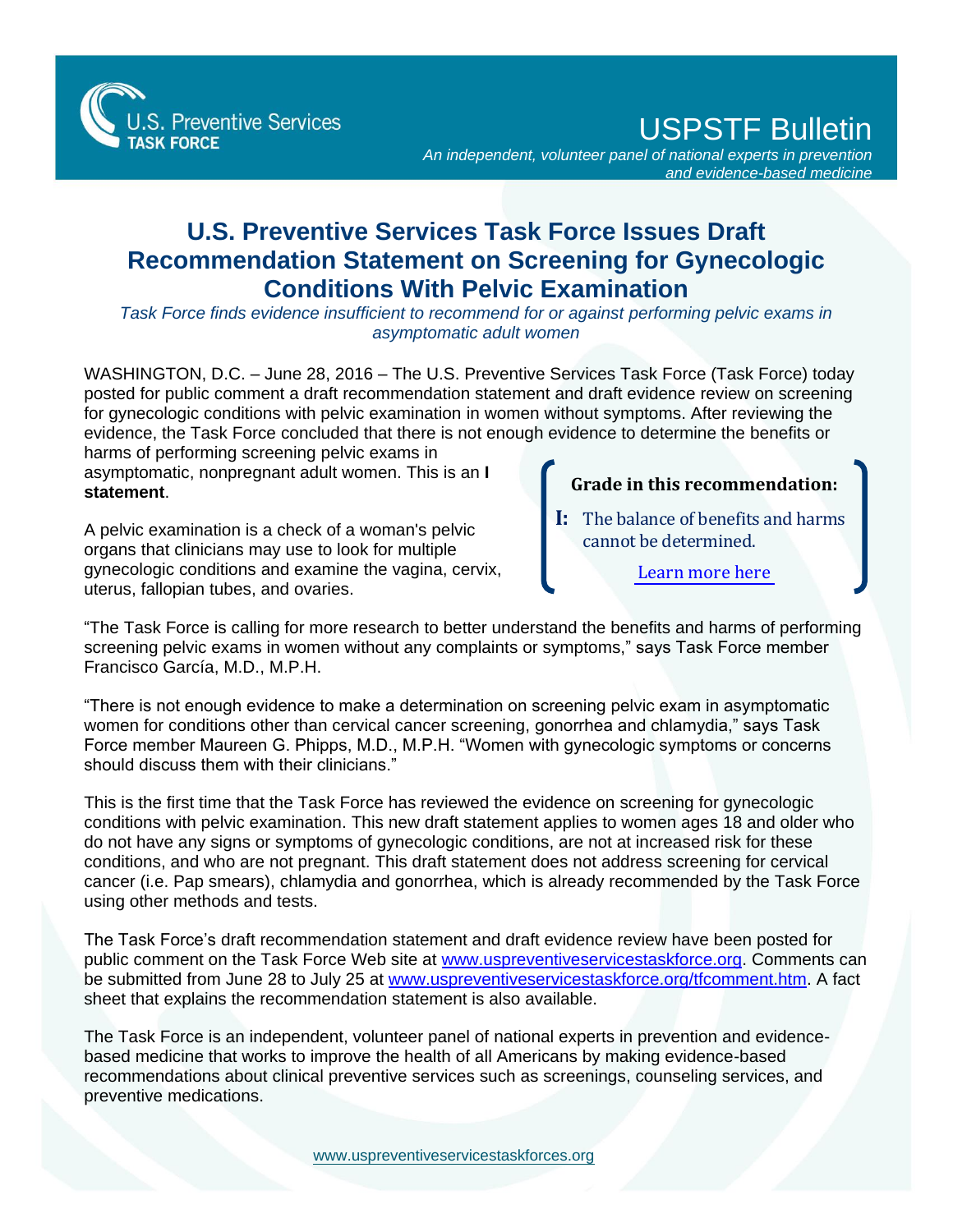

USPSTF Bulletin

*An independent, volunteer panel of national experts in prevention and evidence-based medicine*

## **U.S. Preventive Services Task Force Issues Draft Recommendation Statement on Screening for Gynecologic Conditions With Pelvic Examination**

*Task Force finds evidence insufficient to recommend for or against performing pelvic exams in asymptomatic adult women*

WASHINGTON, D.C. – June 28, 2016 – The U.S. Preventive Services Task Force (Task Force) today posted for public comment a draft recommendation statement and draft evidence review on screening for gynecologic conditions with pelvic examination in women without symptoms. After reviewing the evidence, the Task Force concluded that there is not enough evidence to determine the benefits or

harms of performing screening pelvic exams in asymptomatic, nonpregnant adult women. This is an **I statement**.

A pelvic examination is a check of a woman's pelvic organs that clinicians may use to look for multiple gynecologic conditions and examine the vagina, cervix, uterus, fallopian tubes, and ovaries.

## **Grade in this recommendation:**

**I:** The balance of benefits and harms cannot be determined.

[Learn more here](http://www.uspreventiveservicestaskforce.org/Page/Name/grade-definitions)

"The Task Force is calling for more research to better understand the benefits and harms of performing screening pelvic exams in women without any complaints or symptoms," says Task Force member Francisco García, M.D., M.P.H.

"There is not enough evidence to make a determination on screening pelvic exam in asymptomatic women for conditions other than cervical cancer screening, gonorrhea and chlamydia," says Task Force member Maureen G. Phipps, M.D., M.P.H. "Women with gynecologic symptoms or concerns should discuss them with their clinicians."

This is the first time that the Task Force has reviewed the evidence on screening for gynecologic conditions with pelvic examination. This new draft statement applies to women ages 18 and older who do not have any signs or symptoms of gynecologic conditions, are not at increased risk for these conditions, and who are not pregnant. This draft statement does not address screening for cervical cancer (i.e. Pap smears), chlamydia and gonorrhea, which is already recommended by the Task Force using other methods and tests.

The Task Force's draft recommendation statement and draft evidence review have been posted for public comment on the Task Force Web site at [www.uspreventiveservicestaskforce.org.](http://www.uspreventiveservicestaskforce.org/) Comments can be submitted from June 28 to July 25 at [www.uspreventiveservicestaskforce.org/tfcomment.htm.](http://www.uspreventiveservicestaskforce.org/tfcomment.htm) A fact sheet that explains the recommendation statement is also available.

The Task Force is an independent, volunteer panel of national experts in prevention and evidencebased medicine that works to improve the health of all Americans by making evidence-based recommendations about clinical preventive services such as screenings, counseling services, and preventive medications.